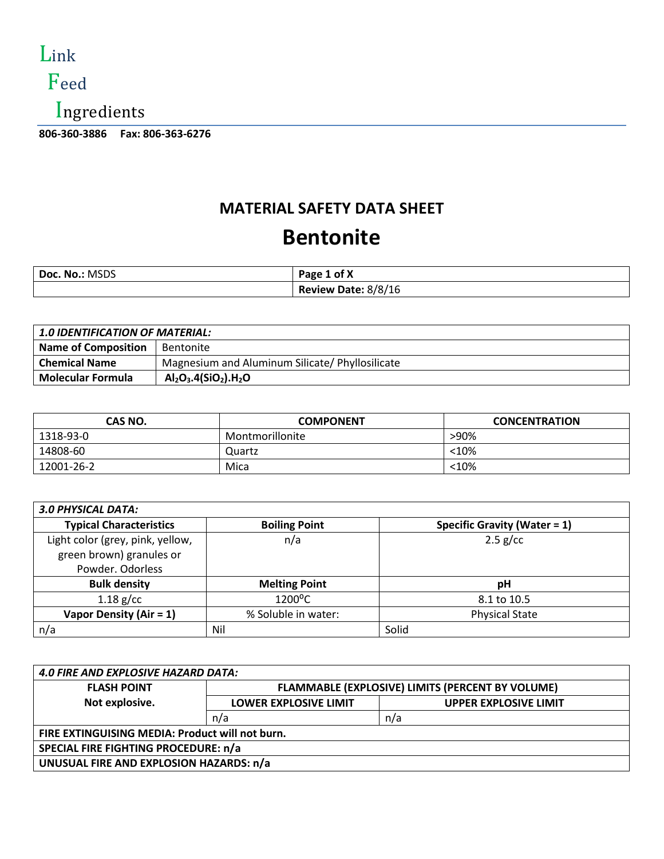

# Feed

Ingredients

**806-360-3886 Fax: 806-363-6276** 

### **MATERIAL SAFETY DATA SHEET Bentonite**

| Doc. No.: MSDS | Page 1 of X         |
|----------------|---------------------|
|                | Review Date: 8/8/16 |

| <b>1.0 IDENTIFICATION OF MATERIAL:</b> |                                                 |
|----------------------------------------|-------------------------------------------------|
| <b>Name of Composition</b>             | Bentonite                                       |
| <b>Chemical Name</b>                   | Magnesium and Aluminum Silicate/ Phyllosilicate |
| <b>Molecular Formula</b>               | $Al_2O_3.4(SiO_2).H_2O$                         |

| CAS NO.    | <b>COMPONENT</b> | <b>CONCENTRATION</b> |
|------------|------------------|----------------------|
| 1318-93-0  | Montmorillonite  | >90%                 |
| 14808-60   | Quartz           | $<$ 10%              |
| 12001-26-2 | Mica             | $<$ 10%              |

| <b>3.0 PHYSICAL DATA:</b>        |                      |                                     |
|----------------------------------|----------------------|-------------------------------------|
| <b>Typical Characteristics</b>   | <b>Boiling Point</b> | <b>Specific Gravity (Water = 1)</b> |
| Light color (grey, pink, yellow, | n/a                  | $2.5$ g/cc                          |
| green brown) granules or         |                      |                                     |
| Powder. Odorless                 |                      |                                     |
| <b>Bulk density</b>              | <b>Melting Point</b> | рH                                  |
| $1.18$ g/cc                      | 1200°C               | 8.1 to 10.5                         |
| Vapor Density (Air = $1$ )       | % Soluble in water:  | <b>Physical State</b>               |
| n/a                              | Nil                  | Solid                               |

| <b>4.0 FIRE AND EXPLOSIVE HAZARD DATA:</b>      |                                                  |                              |
|-------------------------------------------------|--------------------------------------------------|------------------------------|
| <b>FLASH POINT</b>                              | FLAMMABLE (EXPLOSIVE) LIMITS (PERCENT BY VOLUME) |                              |
| Not explosive.                                  | <b>LOWER EXPLOSIVE LIMIT</b>                     | <b>UPPER EXPLOSIVE LIMIT</b> |
|                                                 | n/a                                              | n/a                          |
| FIRE EXTINGUISING MEDIA: Product will not burn. |                                                  |                              |
| SPECIAL FIRE FIGHTING PROCEDURE: n/a            |                                                  |                              |
| UNUSUAL FIRE AND EXPLOSION HAZARDS: n/a         |                                                  |                              |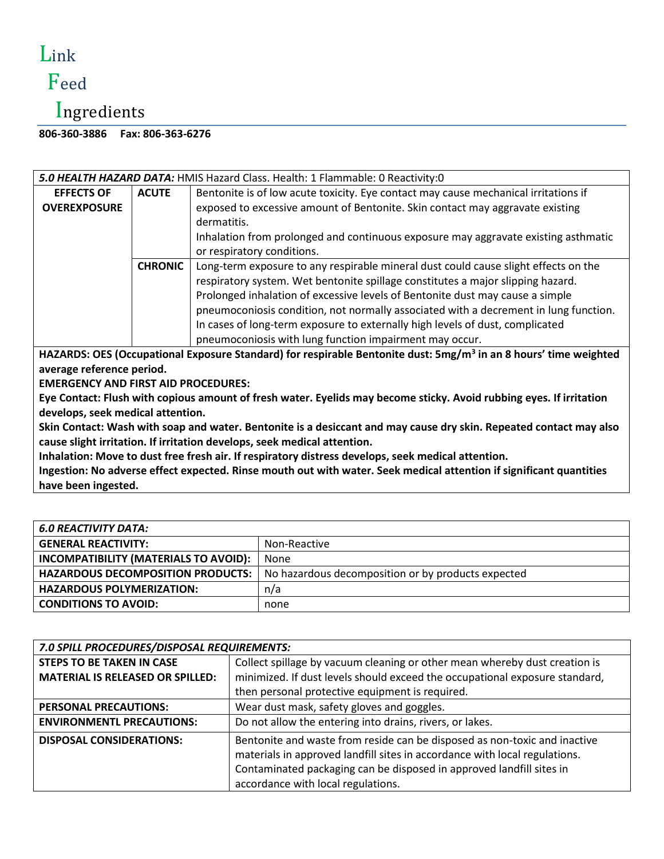### Link Feed

# Ingredients

**806-360-3886 Fax: 806-363-6276** 

| 5.0 HEALTH HAZARD DATA: HMIS Hazard Class. Health: 1 Flammable: 0 Reactivity:0 |                                                                                      |  |
|--------------------------------------------------------------------------------|--------------------------------------------------------------------------------------|--|
| <b>ACUTE</b>                                                                   | Bentonite is of low acute toxicity. Eye contact may cause mechanical irritations if  |  |
|                                                                                | exposed to excessive amount of Bentonite. Skin contact may aggravate existing        |  |
|                                                                                | dermatitis.                                                                          |  |
|                                                                                | Inhalation from prolonged and continuous exposure may aggravate existing asthmatic   |  |
|                                                                                | or respiratory conditions.                                                           |  |
| <b>CHRONIC</b>                                                                 | Long-term exposure to any respirable mineral dust could cause slight effects on the  |  |
|                                                                                | respiratory system. Wet bentonite spillage constitutes a major slipping hazard.      |  |
|                                                                                | Prolonged inhalation of excessive levels of Bentonite dust may cause a simple        |  |
|                                                                                | pneumoconiosis condition, not normally associated with a decrement in lung function. |  |
|                                                                                | In cases of long-term exposure to externally high levels of dust, complicated        |  |
|                                                                                | pneumoconiosis with lung function impairment may occur.                              |  |
|                                                                                |                                                                                      |  |

**HAZARDS: OES (Occupational Exposure Standard) for respirable Bentonite dust: 5mg/m<sup>3</sup> in an 8 hours' time weighted average reference period.**

**EMERGENCY AND FIRST AID PROCEDURES:**

**Eye Contact: Flush with copious amount of fresh water. Eyelids may become sticky. Avoid rubbing eyes. If irritation develops, seek medical attention.**

**Skin Contact: Wash with soap and water. Bentonite is a desiccant and may cause dry skin. Repeated contact may also cause slight irritation. If irritation develops, seek medical attention.**

**Inhalation: Move to dust free fresh air. If respiratory distress develops, seek medical attention.**

**Ingestion: No adverse effect expected. Rinse mouth out with water. Seek medical attention if significant quantities have been ingested.**

| 6.0 REACTIVITY DATA:                         |                                                    |
|----------------------------------------------|----------------------------------------------------|
| <b>GENERAL REACTIVITY:</b>                   | Non-Reactive                                       |
| <b>INCOMPATIBILITY (MATERIALS TO AVOID):</b> | None                                               |
| <b>HAZARDOUS DECOMPOSITION PRODUCTS:</b>     | No hazardous decomposition or by products expected |
| <b>HAZARDOUS POLYMERIZATION:</b>             | n/a                                                |
| <b>CONDITIONS TO AVOID:</b>                  | none                                               |

| 7.0 SPILL PROCEDURES/DISPOSAL REQUIREMENTS: |                                                                                                                                                                                                                                                                       |  |
|---------------------------------------------|-----------------------------------------------------------------------------------------------------------------------------------------------------------------------------------------------------------------------------------------------------------------------|--|
| <b>STEPS TO BE TAKEN IN CASE</b>            | Collect spillage by vacuum cleaning or other mean whereby dust creation is                                                                                                                                                                                            |  |
| <b>MATERIAL IS RELEASED OR SPILLED:</b>     | minimized. If dust levels should exceed the occupational exposure standard,                                                                                                                                                                                           |  |
|                                             | then personal protective equipment is required.                                                                                                                                                                                                                       |  |
| <b>PERSONAL PRECAUTIONS:</b>                | Wear dust mask, safety gloves and goggles.                                                                                                                                                                                                                            |  |
| <b>ENVIRONMENTL PRECAUTIONS:</b>            | Do not allow the entering into drains, rivers, or lakes.                                                                                                                                                                                                              |  |
| <b>DISPOSAL CONSIDERATIONS:</b>             | Bentonite and waste from reside can be disposed as non-toxic and inactive<br>materials in approved landfill sites in accordance with local regulations.<br>Contaminated packaging can be disposed in approved landfill sites in<br>accordance with local regulations. |  |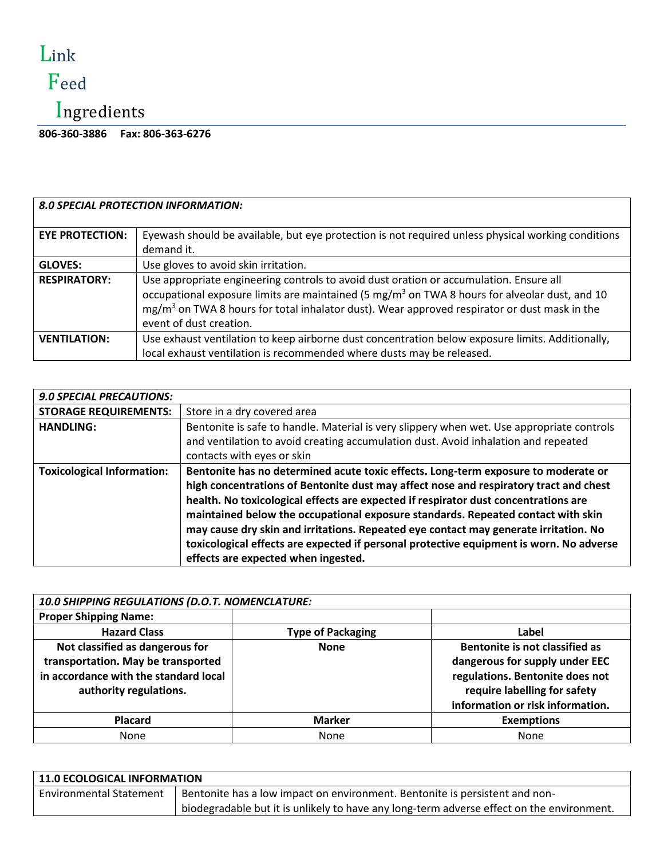# Link

# Feed

# Ingredients

**806-360-3886 Fax: 806-363-6276** 

|                        | <b>8.0 SPECIAL PROTECTION INFORMATION:</b>                                                                                                                                                                                                                                                                                                 |
|------------------------|--------------------------------------------------------------------------------------------------------------------------------------------------------------------------------------------------------------------------------------------------------------------------------------------------------------------------------------------|
| <b>EYE PROTECTION:</b> | Eyewash should be available, but eye protection is not required unless physical working conditions<br>demand it.                                                                                                                                                                                                                           |
| <b>GLOVES:</b>         | Use gloves to avoid skin irritation.                                                                                                                                                                                                                                                                                                       |
| <b>RESPIRATORY:</b>    | Use appropriate engineering controls to avoid dust oration or accumulation. Ensure all<br>occupational exposure limits are maintained (5 mg/m <sup>3</sup> on TWA 8 hours for alveolar dust, and 10<br>mg/m <sup>3</sup> on TWA 8 hours for total inhalator dust). Wear approved respirator or dust mask in the<br>event of dust creation. |
| <b>VENTILATION:</b>    | Use exhaust ventilation to keep airborne dust concentration below exposure limits. Additionally,<br>local exhaust ventilation is recommended where dusts may be released.                                                                                                                                                                  |

| <b>9.0 SPECIAL PRECAUTIONS:</b>   |                                                                                                                                                                                                                                                                                                                                                                                                                                                                                                                                                                                  |
|-----------------------------------|----------------------------------------------------------------------------------------------------------------------------------------------------------------------------------------------------------------------------------------------------------------------------------------------------------------------------------------------------------------------------------------------------------------------------------------------------------------------------------------------------------------------------------------------------------------------------------|
| <b>STORAGE REQUIREMENTS:</b>      | Store in a dry covered area                                                                                                                                                                                                                                                                                                                                                                                                                                                                                                                                                      |
| <b>HANDLING:</b>                  | Bentonite is safe to handle. Material is very slippery when wet. Use appropriate controls<br>and ventilation to avoid creating accumulation dust. Avoid inhalation and repeated<br>contacts with eyes or skin                                                                                                                                                                                                                                                                                                                                                                    |
| <b>Toxicological Information:</b> | Bentonite has no determined acute toxic effects. Long-term exposure to moderate or<br>high concentrations of Bentonite dust may affect nose and respiratory tract and chest<br>health. No toxicological effects are expected if respirator dust concentrations are<br>maintained below the occupational exposure standards. Repeated contact with skin<br>may cause dry skin and irritations. Repeated eye contact may generate irritation. No<br>toxicological effects are expected if personal protective equipment is worn. No adverse<br>effects are expected when ingested. |

| 10.0 SHIPPING REGULATIONS (D.O.T. NOMENCLATURE:                                                                                          |                          |                                                                                                                                                                         |
|------------------------------------------------------------------------------------------------------------------------------------------|--------------------------|-------------------------------------------------------------------------------------------------------------------------------------------------------------------------|
| <b>Proper Shipping Name:</b>                                                                                                             |                          |                                                                                                                                                                         |
| <b>Hazard Class</b>                                                                                                                      | <b>Type of Packaging</b> | Label                                                                                                                                                                   |
| Not classified as dangerous for<br>transportation. May be transported<br>in accordance with the standard local<br>authority regulations. | <b>None</b>              | Bentonite is not classified as<br>dangerous for supply under EEC<br>regulations. Bentonite does not<br>require labelling for safety<br>information or risk information. |
| <b>Placard</b>                                                                                                                           | <b>Marker</b>            | <b>Exemptions</b>                                                                                                                                                       |
| None                                                                                                                                     | None                     | None                                                                                                                                                                    |

| <b>11.0 ECOLOGICAL INFORMATION</b> |                                                                                           |  |
|------------------------------------|-------------------------------------------------------------------------------------------|--|
| <b>Environmental Statement</b>     | Bentonite has a low impact on environment. Bentonite is persistent and non-               |  |
|                                    | biodegradable but it is unlikely to have any long-term adverse effect on the environment. |  |